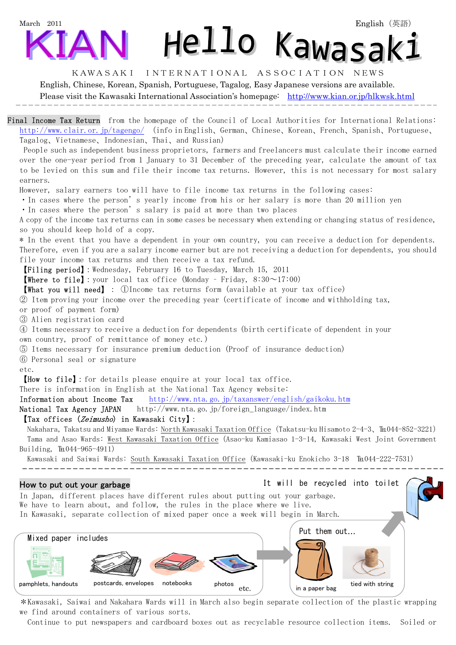# March 2011 Hello Kawasak:

#### KAWASAKI INTERNATIONAL ASSOCIATION NEWS

English, Chinese, Korean, Spanish, Portuguese, Tagalog, Easy Japanese versions are available.

Please visit the Kawasaki International Association's homepage: http://www.kian.or.jp/hlkwsk.html

Final Income Tax Return from the homepage of the Council of Local Authorities for International Relations: http://www.clair.or.jp/tagengo/ (info in English、German、Chinese、Korean、French、Spanish、Portuguese、 Tagalog、Vietnamese、Indonesian、Thai、and Russian)

 People such as independent business proprietors, farmers and freelancers must calculate their income earned over the one-year period from 1 January to 31 December of the preceding year, calculate the amount of tax to be levied on this sum and file their income tax returns. However, this is not necessary for most salary earners.

However, salary earners too will have to file income tax returns in the following cases:

・In cases where the person's yearly income from his or her salary is more than 20 million yen

・In cases where the person's salary is paid at more than two places

A copy of the income tax returns can in some cases be necessary when extending or changing status of residence, so you should keep hold of a copy.

\* In the event that you have a dependent in your own country, you can receive a deduction for dependents. Therefore, even if you are a salary income earner but are not receiving a deduction for dependents, you should file your income tax returns and then receive a tax refund.

【Filing period】:Wednesday, February 16 to Tuesday, March 15, 2011

**【Where to file】:** your local tax office (Monday - Friday,  $8:30 \sim 17:00$ )

【What you will need】: ①Income tax returns form (available at your tax office)

② Item proving your income over the preceding year (certificate of income and withholding tax,

or proof of payment form)

③ Alien registration card

④ Items necessary to receive a deduction for dependents (birth certificate of dependent in your own country, proof of remittance of money etc.)

⑤ Items necessary for insurance premium deduction (Proof of insurance deduction)

⑥ Personal seal or signature

etc.

【How to file】:for details please enquire at your local tax office.

There is information in English at the National Tax Agency website:

Information about Income Tax http://www.nta.go.jp/taxanswer/english/gaikoku.htm

National Tax Agency JAPAN http://www.nta.go.jp/foreign\_language/index.htm

#### 【Tax offices (Zeimusho) in Kawasaki City】:

Nakahara, Takatsu and Miyamae Wards: North Kawasaki Taxation Office (Takatsu-ku Hisamoto 2-4-3、℡044-852-3221) Tama and Asao Wards: West Kawasaki Taxation Office(Asao-ku Kamiasao 1-3-14, Kawasaki West Joint Government Building, TE044-965-4911)

Kawasaki and Saiwai Wards: South Kawasaki Taxation Office (Kawasaki-ku Enokicho 3-18 ℡044-222-7531)

## j How to put out your garbage In Japan, different places have different rules about putting out your garbage. We have to learn about, and follow, the rules in the place where we live. In Kawasaki, separate collection of mixed paper once a week will begin in March. Mixed paper includes  $\overline{a}$ pamphlets, handouts postcards, envelopes notebooks photos etc. Put them out… in a paper bag tied with string It will be recycled into toilet

\*Kawasaki, Saiwai and Nakahara Wards will in March also begin separate collection of the plastic wrapping we find around containers of various sorts.

Continue to put newspapers and cardboard boxes out as recyclable resource collection items. Soiled or